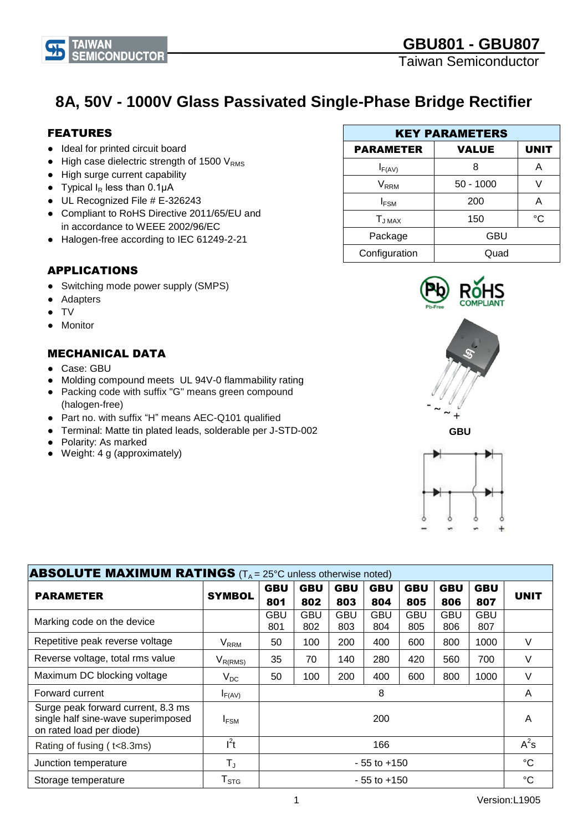**8A, 50V - 1000V Glass Passivated Single-Phase Bridge Rectifier**

# FEATURES

- Ideal for printed circuit board
- $\bullet$  High case dielectric strength of 1500 V<sub>RMS</sub>
- High surge current capability
- Typical  $I_R$  less than 0.1 $\mu$ A
- UL Recognized File # E-326243
- Compliant to RoHS Directive 2011/65/EU and in accordance to WEEE 2002/96/EC
- Halogen-free according to IEC 61249-2-21

# APPLICATIONS

- Switching mode power supply (SMPS)
- **Adapters**
- TV
- **Monitor**

# MECHANICAL DATA

- Case: GBU
- Molding compound meets UL 94V-0 flammability rating
- Packing code with suffix "G" means green compound (halogen-free)
- Part no. with suffix "H" means AEC-Q101 qualified
- Terminal: Matte tin plated leads, solderable per J-STD-002
- Polarity: As marked
- Weight: 4 g (approximately)





**GBU**



| <b>ABSOLUTE MAXIMUM RATINGS</b> ( $T_A = 25^\circ$ C unless otherwise noted)                         |                         |                 |            |             |              |            |            |                   |             |  |
|------------------------------------------------------------------------------------------------------|-------------------------|-----------------|------------|-------------|--------------|------------|------------|-------------------|-------------|--|
|                                                                                                      | <b>SYMBOL</b>           | <b>GBU</b>      | <b>GBU</b> | <b>GBU</b>  | <b>GBU</b>   | <b>GBU</b> | <b>GBU</b> | <b>GBU</b>        |             |  |
| <b>PARAMETER</b>                                                                                     |                         | 801             | 802        | 803         | 804          | 805        | 806        | 807               | <b>UNIT</b> |  |
| Marking code on the device                                                                           |                         | GBU<br>801      | GBU<br>802 | GBU<br>803  | GBU<br>804   | GBU<br>805 | GBU<br>806 | <b>GBU</b><br>807 |             |  |
| Repetitive peak reverse voltage                                                                      | <b>V</b> <sub>RRM</sub> | 50              | 100        | 200         | 400          | 600        | 800        | 1000              | V           |  |
| Reverse voltage, total rms value                                                                     | $V_{R(RMS)}$            | 35              | 70         | 140         | 280          | 420        | 560        | 700               | V           |  |
| Maximum DC blocking voltage                                                                          | $V_{DC}$                | 50              | 100        | 200         | 400          | 600        | 800        | 1000              | V           |  |
| Forward current                                                                                      | $I_{F(AV)}$             | 8               |            | A           |              |            |            |                   |             |  |
| Surge peak forward current, 8.3 ms<br>single half sine-wave superimposed<br>on rated load per diode) | <b>IFSM</b>             | 200             |            | A           |              |            |            |                   |             |  |
| Rating of fusing (t<8.3ms)                                                                           | $I^2t$                  |                 |            |             | 166          |            |            |                   | $A^2s$      |  |
| Junction temperature                                                                                 | $T_{\rm J}$             | $-55$ to $+150$ |            | $^{\circ}C$ |              |            |            |                   |             |  |
| Storage temperature                                                                                  | ${\sf T}_{\text{STG}}$  | $-55$ to $+150$ |            |             | $^{\circ}$ C |            |            |                   |             |  |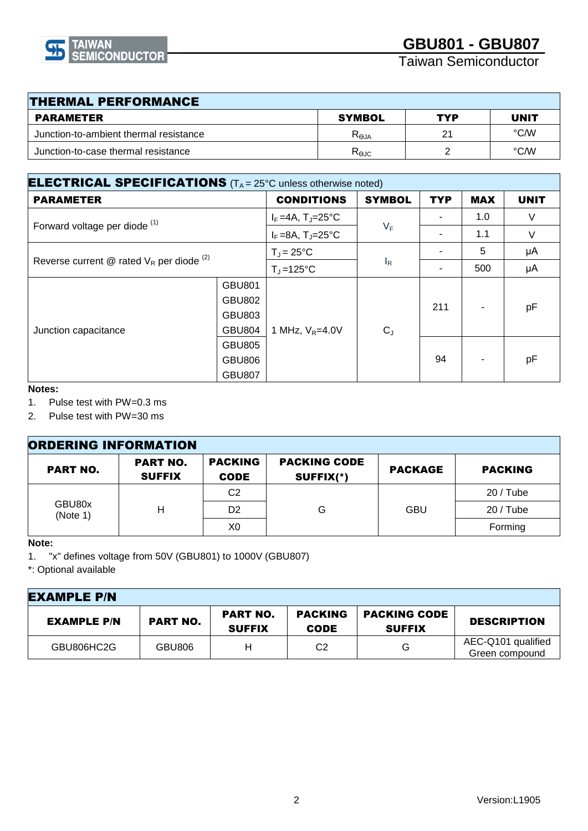

Taiwan Semiconductor

| <b>THERMAL PERFORMANCE</b>             |                 |                |                   |  |  |  |
|----------------------------------------|-----------------|----------------|-------------------|--|--|--|
| <b>PARAMETER</b>                       | <b>SYMBOL</b>   | TYP            | <b>UNIT</b>       |  |  |  |
| Junction-to-ambient thermal resistance | $R_{\Theta JA}$ | 2 <sup>1</sup> | °C/W              |  |  |  |
| Junction-to-case thermal resistance    | $R_{\Theta$ JC  |                | $\rm ^{\circ}$ CM |  |  |  |

| <b>ELECTRICAL SPECIFICATIONS</b> ( $T_A = 25^\circ$ C unless otherwise noted) |                                                                  |                                   |               |            |            |             |
|-------------------------------------------------------------------------------|------------------------------------------------------------------|-----------------------------------|---------------|------------|------------|-------------|
| <b>PARAMETER</b>                                                              |                                                                  | <b>CONDITIONS</b>                 | <b>SYMBOL</b> | <b>TYP</b> | <b>MAX</b> | <b>UNIT</b> |
| Forward voltage per diode <sup>(1)</sup>                                      |                                                                  | $I_F = 4A$ , T <sub>J</sub> =25°C | $V_F$         |            | 1.0        | V           |
|                                                                               |                                                                  | $I_F = 8A$ , T <sub>J</sub> =25°C |               |            | 1.1        | $\vee$      |
| Reverse current @ rated $V_R$ per diode $(2)$                                 |                                                                  | $T_J = 25^{\circ}C$               | $I_R$         |            | 5          | μA          |
|                                                                               |                                                                  | $T_{\rm J}$ =125°C                |               |            | 500        | μA          |
| Junction capacitance                                                          | <b>GBU801</b><br><b>GBU802</b><br><b>GBU803</b><br><b>GBU804</b> | 1 MHz, $V_R = 4.0V$               | $C_{J}$       | 211        |            | pF          |
|                                                                               | <b>GBU805</b><br><b>GBU806</b><br><b>GBU807</b>                  |                                   |               | 94         |            | pF          |

### **Notes:**

1. Pulse test with PW=0.3 ms

2. Pulse test with PW=30 ms

| <b>ORDERING INFORMATION</b> |                                  |                               |                                  |                |                |  |
|-----------------------------|----------------------------------|-------------------------------|----------------------------------|----------------|----------------|--|
| <b>PART NO.</b>             | <b>PART NO.</b><br><b>SUFFIX</b> | <b>PACKING</b><br><b>CODE</b> | <b>PACKING CODE</b><br>SUFFIX(*) | <b>PACKAGE</b> | <b>PACKING</b> |  |
| GBU80x<br>(Note 1)          | н                                | C <sub>2</sub>                | G                                | <b>GBU</b>     | $20/$ Tube     |  |
|                             |                                  | D <sub>2</sub>                |                                  |                | $20/$ Tube     |  |
|                             |                                  | X0                            |                                  |                | Forming        |  |

#### **Note:**

1. "x" defines voltage from 50V (GBU801) to 1000V (GBU807)

\*: Optional available

| <b>EXAMPLE P/N</b> |                 |                                  |                               |                                      |                                      |
|--------------------|-----------------|----------------------------------|-------------------------------|--------------------------------------|--------------------------------------|
| <b>EXAMPLE P/N</b> | <b>PART NO.</b> | <b>PART NO.</b><br><b>SUFFIX</b> | <b>PACKING</b><br><b>CODE</b> | <b>PACKING CODE</b><br><b>SUFFIX</b> | <b>DESCRIPTION</b>                   |
| GBU806HC2G         | GBU806          | Н                                | C2                            | G                                    | AEC-Q101 qualified<br>Green compound |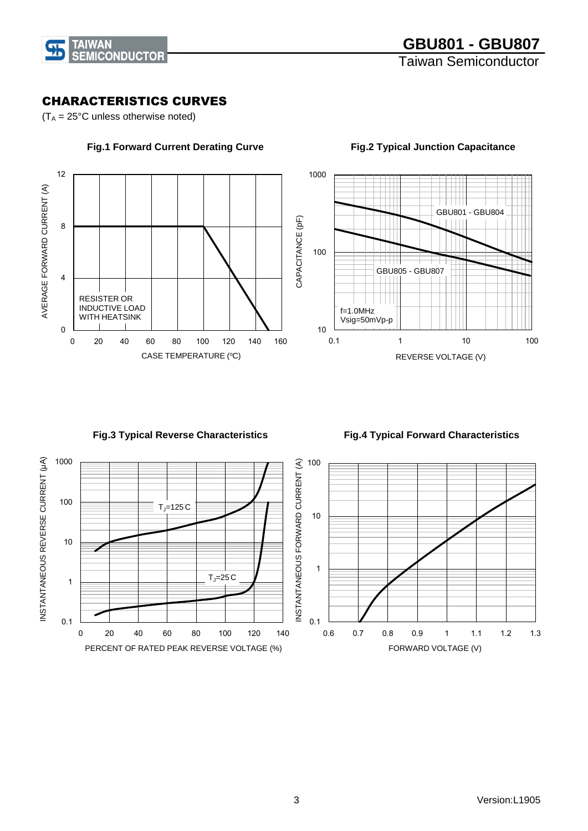

# CHARACTERISTICS CURVES

 $(T_A = 25^{\circ}C$  unless otherwise noted)



 **Fig.1 Forward Current Derating Curve**

10 100 1000 0.1 1 10 100 REVERSE VOLTAGE (V) GBU801 - GBU804 GBU805 - GBU807  $f=1.0MHz$ Vsig=50mVp-p

#### **Fig.2 Typical Junction Capacitance**

# **Fig.3 Typical Reverse Characteristics**

 **Fig.4 Typical Forward Characteristics** 

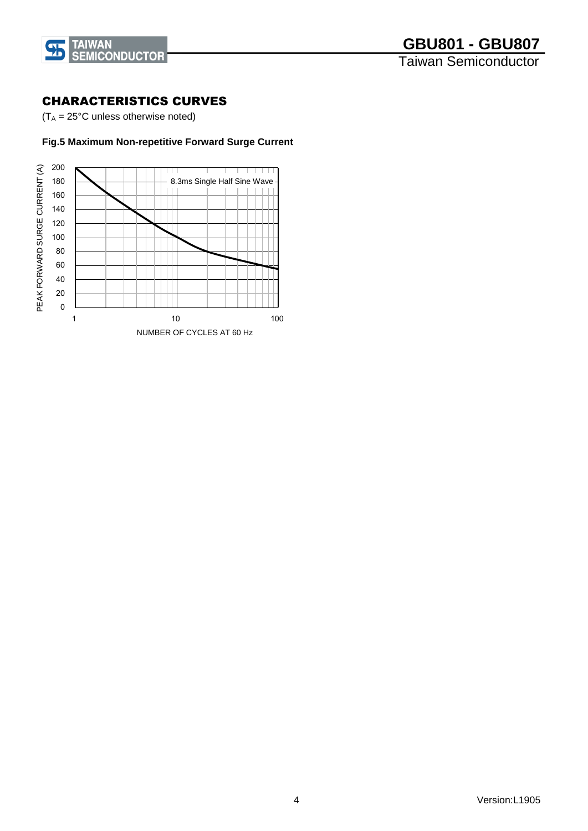

### CHARACTERISTICS CURVES

 $(T_A = 25^{\circ}C$  unless otherwise noted)

### **Fig.5 Maximum Non-repetitive Forward Surge Current**

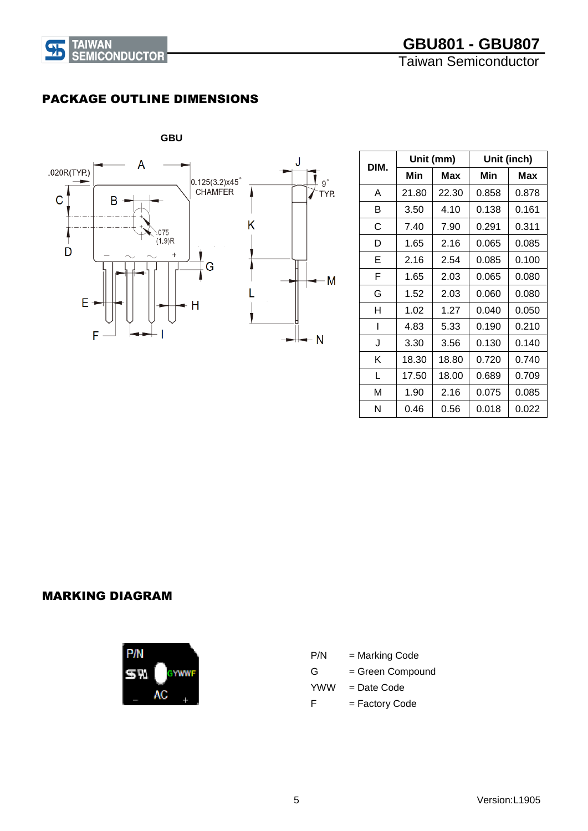



# PACKAGE OUTLINE DIMENSIONS



| DIM. |       | Unit (mm) | Unit (inch) |       |  |
|------|-------|-----------|-------------|-------|--|
|      | Min   |           | Min         | Max   |  |
| A    | 21.80 | 22.30     | 0.858       | 0.878 |  |
| В    | 3.50  | 4.10      | 0.138       | 0.161 |  |
| С    | 7.40  | 7.90      | 0.291       | 0.311 |  |
| D    | 1.65  | 2.16      | 0.065       | 0.085 |  |
| Е    | 2.16  | 2.54      | 0.085       | 0.100 |  |
| F    | 1.65  | 2.03      | 0.065       | 0.080 |  |
| G    | 1.52  | 2.03      | 0.060       | 0.080 |  |
| н    | 1.02  | 1.27      | 0.040       | 0.050 |  |
| ı    | 4.83  | 5.33      | 0.190       | 0.210 |  |
| J    | 3.30  | 3.56      | 0.130       | 0.140 |  |
| κ    | 18.30 | 18.80     | 0.720       | 0.740 |  |
| L    | 17.50 | 18.00     | 0.689       | 0.709 |  |
| М    | 1.90  | 2.16      | 0.075       | 0.085 |  |
| N    | 0.46  | 0.56      | 0.018       | 0.022 |  |

### MARKING DIAGRAM



| P/N | = Marking Code   |
|-----|------------------|
| G   | = Green Compound |
| YWW | $=$ Date Code    |
| F   | = Factory Code   |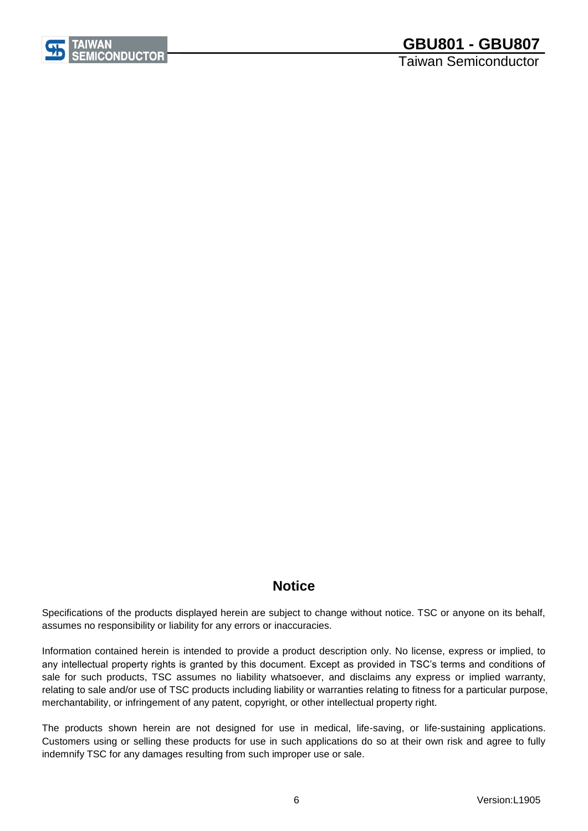

Taiwan Semiconductor

# **Notice**

Specifications of the products displayed herein are subject to change without notice. TSC or anyone on its behalf, assumes no responsibility or liability for any errors or inaccuracies.

Information contained herein is intended to provide a product description only. No license, express or implied, to any intellectual property rights is granted by this document. Except as provided in TSC's terms and conditions of sale for such products, TSC assumes no liability whatsoever, and disclaims any express or implied warranty, relating to sale and/or use of TSC products including liability or warranties relating to fitness for a particular purpose, merchantability, or infringement of any patent, copyright, or other intellectual property right.

The products shown herein are not designed for use in medical, life-saving, or life-sustaining applications. Customers using or selling these products for use in such applications do so at their own risk and agree to fully indemnify TSC for any damages resulting from such improper use or sale.